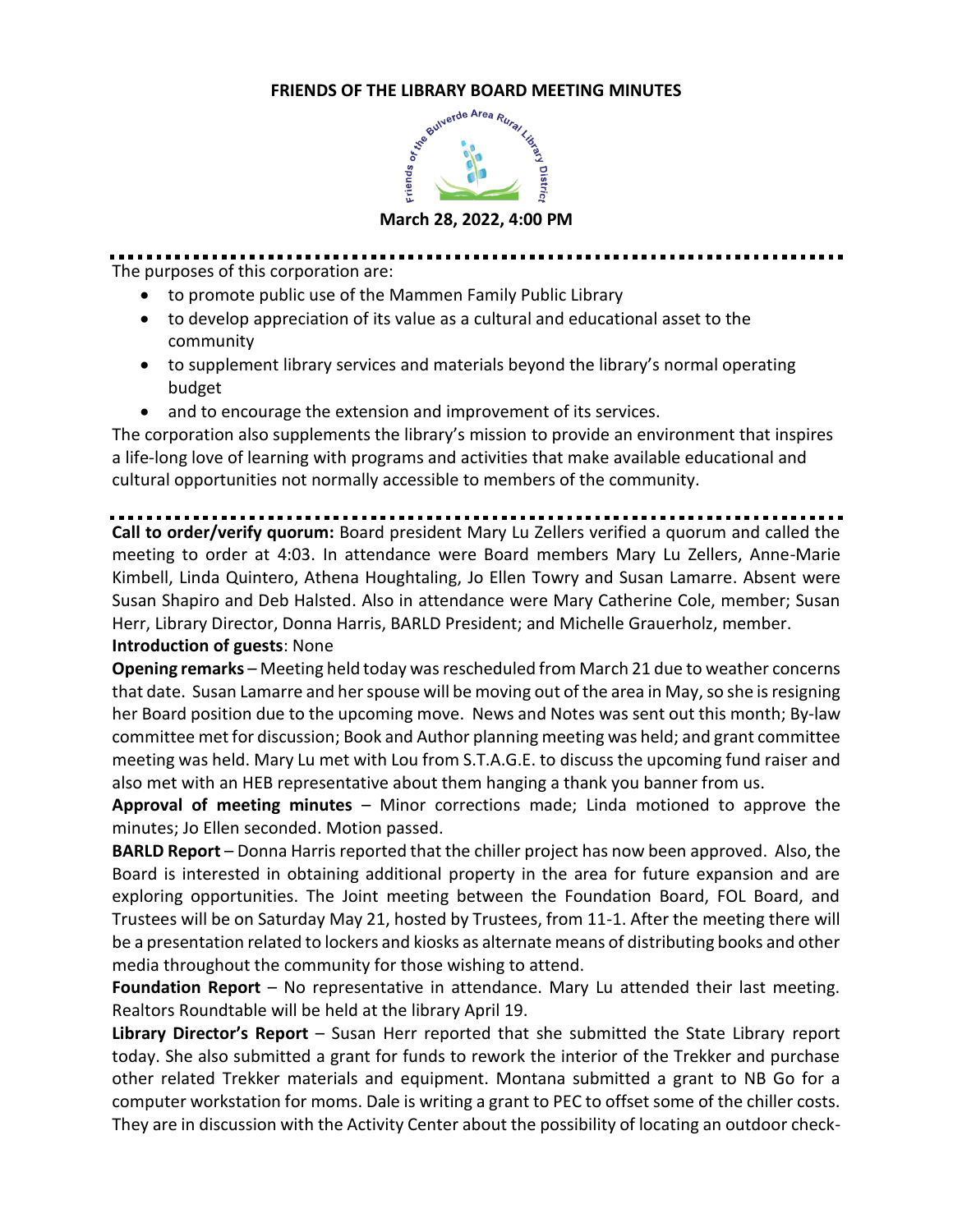## **FRIENDS OF THE LIBRARY BOARD MEETING MINUTES**



The purposes of this corporation are:

- to promote public use of the Mammen Family Public Library
- to develop appreciation of its value as a cultural and educational asset to the community
- to supplement library services and materials beyond the library's normal operating budget
- and to encourage the extension and improvement of its services.

The corporation also supplements the library's mission to provide an environment that inspires a life-long love of learning with programs and activities that make available educational and cultural opportunities not normally accessible to members of the community.

**Call to order/verify quorum:** Board president Mary Lu Zellers verified a quorum and called the meeting to order at 4:03. In attendance were Board members Mary Lu Zellers, Anne-Marie Kimbell, Linda Quintero, Athena Houghtaling, Jo Ellen Towry and Susan Lamarre. Absent were Susan Shapiro and Deb Halsted. Also in attendance were Mary Catherine Cole, member; Susan Herr, Library Director, Donna Harris, BARLD President; and Michelle Grauerholz, member.

## **Introduction of guests**: None

**Opening remarks** – Meeting held today was rescheduled from March 21 due to weather concerns that date. Susan Lamarre and her spouse will be moving out of the area in May, so she is resigning her Board position due to the upcoming move. News and Notes was sent out this month; By-law committee met for discussion; Book and Author planning meeting was held; and grant committee meeting was held. Mary Lu met with Lou from S.T.A.G.E. to discuss the upcoming fund raiser and also met with an HEB representative about them hanging a thank you banner from us.

**Approval of meeting minutes** – Minor corrections made; Linda motioned to approve the minutes; Jo Ellen seconded. Motion passed.

**BARLD Report** – Donna Harris reported that the chiller project has now been approved. Also, the Board is interested in obtaining additional property in the area for future expansion and are exploring opportunities. The Joint meeting between the Foundation Board, FOL Board, and Trustees will be on Saturday May 21, hosted by Trustees, from 11-1. After the meeting there will be a presentation related to lockers and kiosks as alternate means of distributing books and other media throughout the community for those wishing to attend.

**Foundation Report** – No representative in attendance. Mary Lu attended their last meeting. Realtors Roundtable will be held at the library April 19.

**Library Director's Report** – Susan Herr reported that she submitted the State Library report today. She also submitted a grant for funds to rework the interior of the Trekker and purchase other related Trekker materials and equipment. Montana submitted a grant to NB Go for a computer workstation for moms. Dale is writing a grant to PEC to offset some of the chiller costs. They are in discussion with the Activity Center about the possibility of locating an outdoor check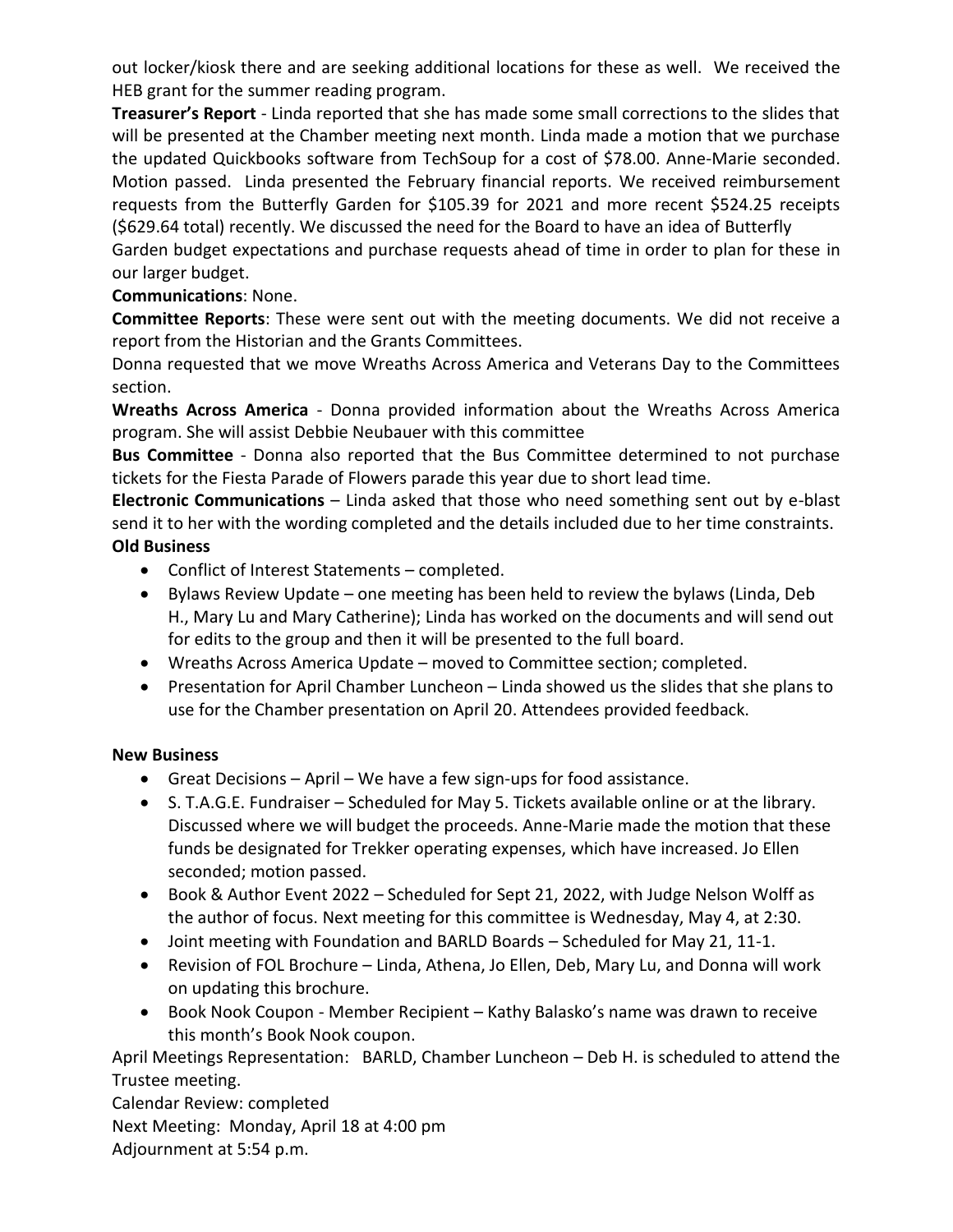out locker/kiosk there and are seeking additional locations for these as well. We received the HEB grant for the summer reading program.

**Treasurer's Report** - Linda reported that she has made some small corrections to the slides that will be presented at the Chamber meeting next month. Linda made a motion that we purchase the updated Quickbooks software from TechSoup for a cost of \$78.00. Anne-Marie seconded. Motion passed. Linda presented the February financial reports. We received reimbursement requests from the Butterfly Garden for \$105.39 for 2021 and more recent \$524.25 receipts (\$629.64 total) recently. We discussed the need for the Board to have an idea of Butterfly

Garden budget expectations and purchase requests ahead of time in order to plan for these in our larger budget.

## **Communications**: None.

**Committee Reports**: These were sent out with the meeting documents. We did not receive a report from the Historian and the Grants Committees.

Donna requested that we move Wreaths Across America and Veterans Day to the Committees section.

**Wreaths Across America** - Donna provided information about the Wreaths Across America program. She will assist Debbie Neubauer with this committee

**Bus Committee** - Donna also reported that the Bus Committee determined to not purchase tickets for the Fiesta Parade of Flowers parade this year due to short lead time.

**Electronic Communications** – Linda asked that those who need something sent out by e-blast send it to her with the wording completed and the details included due to her time constraints. **Old Business**

- Conflict of Interest Statements completed.
- Bylaws Review Update one meeting has been held to review the bylaws (Linda, Deb H., Mary Lu and Mary Catherine); Linda has worked on the documents and will send out for edits to the group and then it will be presented to the full board.
- Wreaths Across America Update moved to Committee section; completed.
- Presentation for April Chamber Luncheon Linda showed us the slides that she plans to use for the Chamber presentation on April 20. Attendees provided feedback.

## **New Business**

- Great Decisions April We have a few sign-ups for food assistance.
- S. T.A.G.E. Fundraiser Scheduled for May 5. Tickets available online or at the library. Discussed where we will budget the proceeds. Anne-Marie made the motion that these funds be designated for Trekker operating expenses, which have increased. Jo Ellen seconded; motion passed.
- Book & Author Event 2022 Scheduled for Sept 21, 2022, with Judge Nelson Wolff as the author of focus. Next meeting for this committee is Wednesday, May 4, at 2:30.
- Joint meeting with Foundation and BARLD Boards Scheduled for May 21, 11-1.
- Revision of FOL Brochure Linda, Athena, Jo Ellen, Deb, Mary Lu, and Donna will work on updating this brochure.
- Book Nook Coupon Member Recipient Kathy Balasko's name was drawn to receive this month's Book Nook coupon.

April Meetings Representation: BARLD, Chamber Luncheon – Deb H. is scheduled to attend the Trustee meeting.

Calendar Review: completed Next Meeting: Monday, April 18 at 4:00 pm Adjournment at 5:54 p.m.